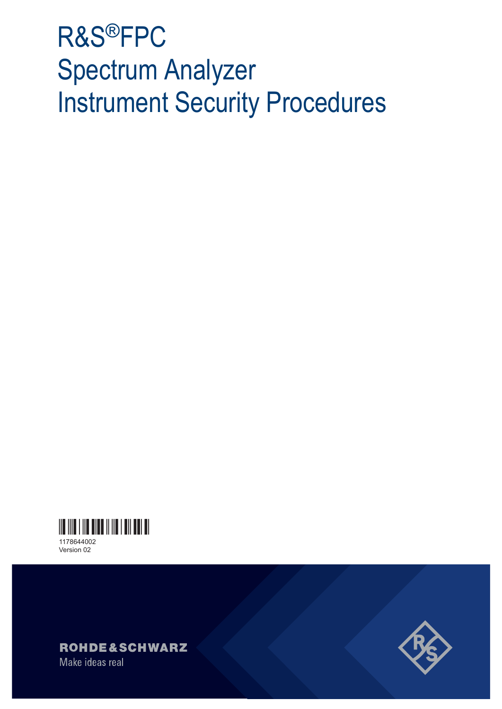# R&S®FPC Spectrum Analyzer Instrument Security Procedures



Version 02



Make ideas real

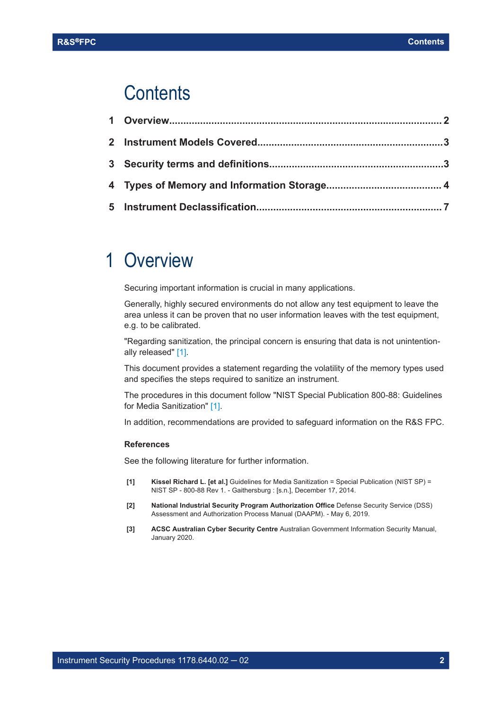### <span id="page-1-0"></span>**Contents**

## 1 Overview

Securing important information is crucial in many applications.

Generally, highly secured environments do not allow any test equipment to leave the area unless it can be proven that no user information leaves with the test equipment, e.g. to be calibrated.

"Regarding sanitization, the principal concern is ensuring that data is not unintentionally released" [1].

This document provides a statement regarding the volatility of the memory types used and specifies the steps required to sanitize an instrument.

The procedures in this document follow "NIST Special Publication 800-88: Guidelines for Media Sanitization" [1].

In addition, recommendations are provided to safeguard information on the R&S FPC.

#### **References**

See the following literature for further information.

- **[1] Kissel Richard L. [et al.]** Guidelines for Media Sanitization = Special Publication (NIST SP) = NIST SP - 800-88 Rev 1. - Gaithersburg : [s.n.], December 17, 2014.
- **[2] National Industrial Security Program Authorization Office** Defense Security Service (DSS) Assessment and Authorization Process Manual (DAAPM). - May 6, 2019.
- **[3] ACSC Australian Cyber Security Centre** Australian Government Information Security Manual, January 2020.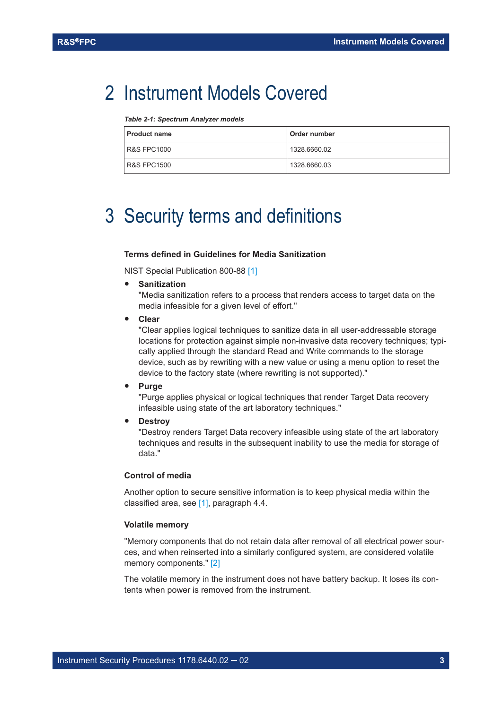### <span id="page-2-0"></span>2 Instrument Models Covered

*Table 2-1: Spectrum Analyzer models*

| <b>Product name</b> | Order number |
|---------------------|--------------|
| R&S FPC1000         | 1328.6660.02 |
| R&S FPC1500         | 1328.6660.03 |

# 3 Security terms and definitions

#### **Terms defined in Guidelines for Media Sanitization**

NIST Special Publication 800-88 [\[1\]](#page-1-0)

● **Sanitization**

"Media sanitization refers to a process that renders access to target data on the media infeasible for a given level of effort."

● **Clear**

"Clear applies logical techniques to sanitize data in all user-addressable storage locations for protection against simple non-invasive data recovery techniques; typically applied through the standard Read and Write commands to the storage device, such as by rewriting with a new value or using a menu option to reset the device to the factory state (where rewriting is not supported)."

● **Purge**

"Purge applies physical or logical techniques that render Target Data recovery infeasible using state of the art laboratory techniques."

**Destroy** 

"Destroy renders Target Data recovery infeasible using state of the art laboratory techniques and results in the subsequent inability to use the media for storage of data."

#### **Control of media**

Another option to secure sensitive information is to keep physical media within the classified area, see [\[1\],](#page-1-0) paragraph 4.4.

#### **Volatile memory**

"Memory components that do not retain data after removal of all electrical power sources, and when reinserted into a similarly configured system, are considered volatile memory components." [\[2\]](#page-1-0)

The volatile memory in the instrument does not have battery backup. It loses its contents when power is removed from the instrument.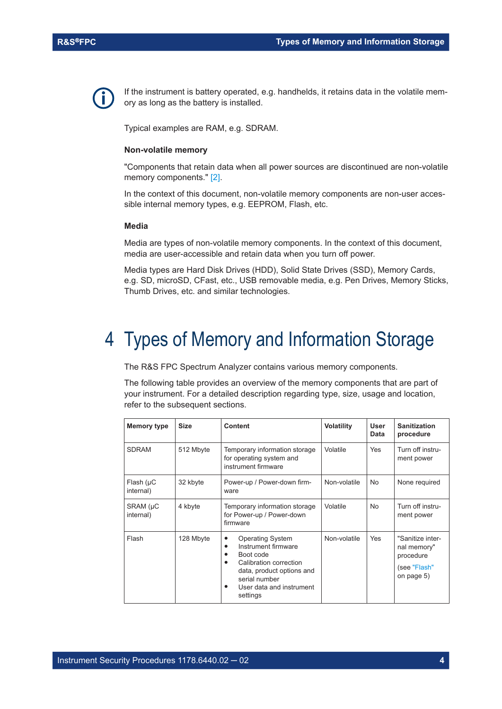<span id="page-3-0"></span>

If the instrument is battery operated, e.g. handhelds, it retains data in the volatile memory as long as the battery is installed.

Typical examples are RAM, e.g. SDRAM.

#### **Non-volatile memory**

"Components that retain data when all power sources are discontinued are non-volatile memory components." [\[2\].](#page-1-0)

In the context of this document, non-volatile memory components are non-user accessible internal memory types, e.g. EEPROM, Flash, etc.

#### **Media**

Media are types of non-volatile memory components. In the context of this document, media are user-accessible and retain data when you turn off power.

Media types are Hard Disk Drives (HDD), Solid State Drives (SSD), Memory Cards, e.g. SD, microSD, CFast, etc., USB removable media, e.g. Pen Drives, Memory Sticks, Thumb Drives, etc. and similar technologies.

## 4 Types of Memory and Information Storage

The R&S FPC Spectrum Analyzer contains various memory components.

The following table provides an overview of the memory components that are part of your instrument. For a detailed description regarding type, size, usage and location, refer to the subsequent sections.

| <b>Memory type</b>           | <b>Size</b> | <b>Content</b>                                                                                                                                                                             | <b>Volatility</b> | User<br><b>Data</b> | <b>Sanitization</b><br>procedure                                           |
|------------------------------|-------------|--------------------------------------------------------------------------------------------------------------------------------------------------------------------------------------------|-------------------|---------------------|----------------------------------------------------------------------------|
| <b>SDRAM</b>                 | 512 Mbyte   | Temporary information storage<br>for operating system and<br>instrument firmware                                                                                                           | Volatile          | <b>Yes</b>          | Turn off instru-<br>ment power                                             |
| Flash $(\mu C)$<br>internal) | 32 kbyte    | Power-up / Power-down firm-<br>ware                                                                                                                                                        | Non-volatile      | <b>No</b>           | None required                                                              |
| SRAM (µC<br>internal)        | 4 kbyte     | Temporary information storage<br>for Power-up / Power-down<br>firmware                                                                                                                     | Volatile          | <b>No</b>           | Turn off instru-<br>ment power                                             |
| Flash                        | 128 Mbyte   | <b>Operating System</b><br>٠<br>Instrument firmware<br>٠<br>Boot code<br>Calibration correction<br>٠<br>data, product options and<br>serial number<br>User data and instrument<br>settings | Non-volatile      | Yes                 | "Sanitize inter-<br>nal memory"<br>procedure<br>(see "Flash"<br>on page 5) |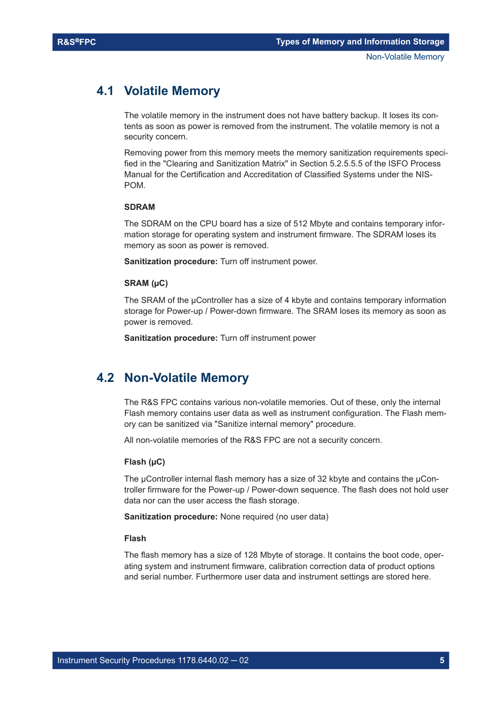### <span id="page-4-0"></span>**4.1 Volatile Memory**

The volatile memory in the instrument does not have battery backup. It loses its contents as soon as power is removed from the instrument. The volatile memory is not a security concern.

Removing power from this memory meets the memory sanitization requirements specified in the "Clearing and Sanitization Matrix" in Section 5.2.5.5.5 of the ISFO Process Manual for the Certification and Accreditation of Classified Systems under the NIS-POM.

#### **SDRAM**

The SDRAM on the CPU board has a size of 512 Mbyte and contains temporary information storage for operating system and instrument firmware. The SDRAM loses its memory as soon as power is removed.

**Sanitization procedure:** Turn off instrument power.

#### **SRAM (µC)**

The SRAM of the µController has a size of 4 kbyte and contains temporary information storage for Power-up / Power-down firmware. The SRAM loses its memory as soon as power is removed.

**Sanitization procedure:** Turn off instrument power

### **4.2 Non-Volatile Memory**

The R&S FPC contains various non-volatile memories. Out of these, only the internal Flash memory contains user data as well as instrument configuration. The Flash memory can be sanitized via "Sanitize internal memory" procedure.

All non-volatile memories of the R&S FPC are not a security concern.

#### **Flash (µC)**

The  $\mu$ Controller internal flash memory has a size of 32 kbyte and contains the  $\mu$ Controller firmware for the Power-up / Power-down sequence. The flash does not hold user data nor can the user access the flash storage.

**Sanitization procedure:** None required (no user data)

#### **Flash**

The flash memory has a size of 128 Mbyte of storage. It contains the boot code, operating system and instrument firmware, calibration correction data of product options and serial number. Furthermore user data and instrument settings are stored here.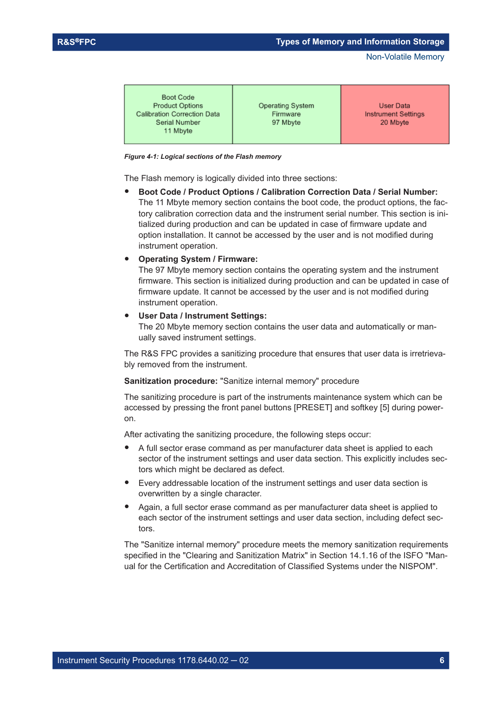Non-Volatile Memory

| Boot Code<br><b>Product Options</b><br><b>Calibration Correction Data</b><br>Serial Number<br>11 Mbyte | <b>Operating System</b><br>Firmware<br>97 Mbyte | User Data<br><b>Instrument Settings</b><br>20 Mbyte |
|--------------------------------------------------------------------------------------------------------|-------------------------------------------------|-----------------------------------------------------|
|                                                                                                        |                                                 |                                                     |

#### *Figure 4-1: Logical sections of the Flash memory*

The Flash memory is logically divided into three sections:

**Boot Code / Product Options / Calibration Correction Data / Serial Number:** The 11 Mbyte memory section contains the boot code, the product options, the factory calibration correction data and the instrument serial number. This section is initialized during production and can be updated in case of firmware update and option installation. It cannot be accessed by the user and is not modified during instrument operation.

#### ● **Operating System / Firmware:**

The 97 Mbyte memory section contains the operating system and the instrument firmware. This section is initialized during production and can be updated in case of firmware update. It cannot be accessed by the user and is not modified during instrument operation.

#### ● **User Data / Instrument Settings:**

The 20 Mbyte memory section contains the user data and automatically or manually saved instrument settings.

The R&S FPC provides a sanitizing procedure that ensures that user data is irretrievably removed from the instrument.

#### **Sanitization procedure:** "Sanitize internal memory" procedure

The sanitizing procedure is part of the instruments maintenance system which can be accessed by pressing the front panel buttons [PRESET] and softkey [5] during poweron.

After activating the sanitizing procedure, the following steps occur:

- A full sector erase command as per manufacturer data sheet is applied to each sector of the instrument settings and user data section. This explicitly includes sectors which might be declared as defect.
- Every addressable location of the instrument settings and user data section is overwritten by a single character.
- Again, a full sector erase command as per manufacturer data sheet is applied to each sector of the instrument settings and user data section, including defect sectors.

The "Sanitize internal memory" procedure meets the memory sanitization requirements specified in the "Clearing and Sanitization Matrix" in Section 14.1.16 of the ISFO "Manual for the Certification and Accreditation of Classified Systems under the NISPOM".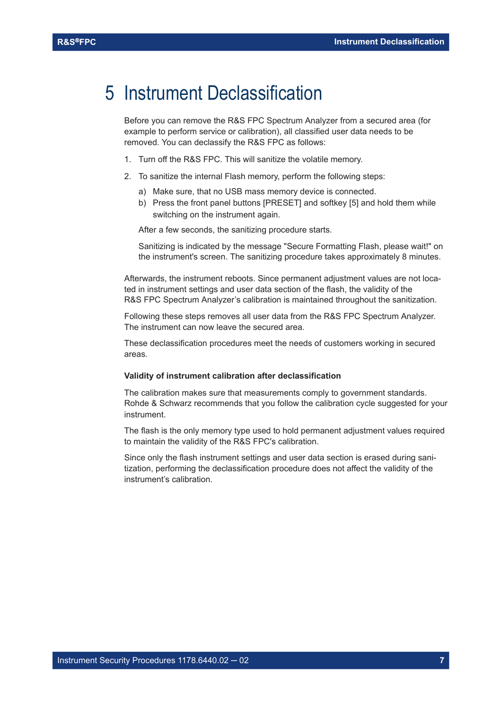### <span id="page-6-0"></span>5 Instrument Declassification

Before you can remove the R&S FPC Spectrum Analyzer from a secured area (for example to perform service or calibration), all classified user data needs to be removed. You can declassify the R&S FPC as follows:

- 1. Turn off the R&S FPC. This will sanitize the volatile memory.
- 2. To sanitize the internal Flash memory, perform the following steps:
	- a) Make sure, that no USB mass memory device is connected.
	- b) Press the front panel buttons [PRESET] and softkey [5] and hold them while switching on the instrument again.

After a few seconds, the sanitizing procedure starts.

Sanitizing is indicated by the message "Secure Formatting Flash, please wait!" on the instrument's screen. The sanitizing procedure takes approximately 8 minutes.

Afterwards, the instrument reboots. Since permanent adjustment values are not located in instrument settings and user data section of the flash, the validity of the R&S FPC Spectrum Analyzer's calibration is maintained throughout the sanitization.

Following these steps removes all user data from the R&S FPC Spectrum Analyzer. The instrument can now leave the secured area.

These declassification procedures meet the needs of customers working in secured areas.

#### **Validity of instrument calibration after declassification**

The calibration makes sure that measurements comply to government standards. Rohde & Schwarz recommends that you follow the calibration cycle suggested for your instrument.

The flash is the only memory type used to hold permanent adjustment values required to maintain the validity of the R&S FPC's calibration.

Since only the flash instrument settings and user data section is erased during sanitization, performing the declassification procedure does not affect the validity of the instrument's calibration.